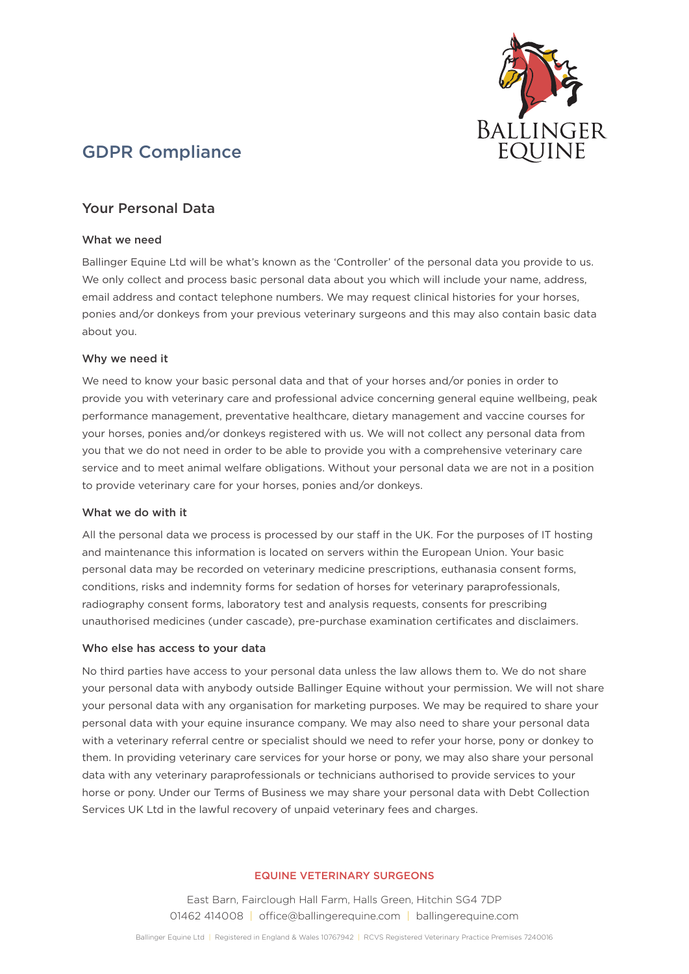

# GDPR Compliance

# Your Personal Data

#### What we need

Ballinger Equine Ltd will be what's known as the 'Controller' of the personal data you provide to us. We only collect and process basic personal data about you which will include your name, address, email address and contact telephone numbers. We may request clinical histories for your horses, ponies and/or donkeys from your previous veterinary surgeons and this may also contain basic data about you.

# Why we need it

We need to know your basic personal data and that of your horses and/or ponies in order to provide you with veterinary care and professional advice concerning general equine wellbeing, peak performance management, preventative healthcare, dietary management and vaccine courses for your horses, ponies and/or donkeys registered with us. We will not collect any personal data from you that we do not need in order to be able to provide you with a comprehensive veterinary care service and to meet animal welfare obligations. Without your personal data we are not in a position to provide veterinary care for your horses, ponies and/or donkeys.

#### What we do with it

All the personal data we process is processed by our staff in the UK. For the purposes of IT hosting and maintenance this information is located on servers within the European Union. Your basic personal data may be recorded on veterinary medicine prescriptions, euthanasia consent forms, conditions, risks and indemnity forms for sedation of horses for veterinary paraprofessionals, radiography consent forms, laboratory test and analysis requests, consents for prescribing unauthorised medicines (under cascade), pre-purchase examination certificates and disclaimers.

#### Who else has access to your data

No third parties have access to your personal data unless the law allows them to. We do not share your personal data with anybody outside Ballinger Equine without your permission. We will not share your personal data with any organisation for marketing purposes. We may be required to share your personal data with your equine insurance company. We may also need to share your personal data with a veterinary referral centre or specialist should we need to refer your horse, pony or donkey to them. In providing veterinary care services for your horse or pony, we may also share your personal data with any veterinary paraprofessionals or technicians authorised to provide services to your horse or pony. Under our Terms of Business we may share your personal data with Debt Collection Services UK Ltd in the lawful recovery of unpaid veterinary fees and charges.

#### EQUINE VETERINARY SURGEONS

East Barn, Fairclough Hall Farm, Halls Green, Hitchin SG4 7DP 01462 414008 | office@ballingerequine.com | ballingerequine.com